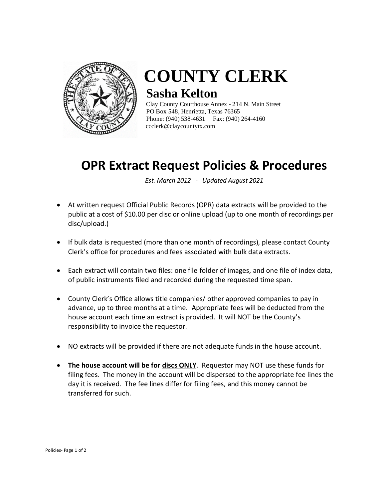

## **COUNTY CLERK Sasha Kelton**

Clay County Courthouse Annex - 214 N. Main Street PO Box 548, Henrietta, Texas 76365 Phone: (940) 538-4631 Fax: (940) 264-4160 [ccclerk@claycountytx.com](mailto:ccclerk@claycountytx.com)

## **OPR Extract Request Policies & Procedures**

*Est. March 2012 - Updated August 2021*

- At written request Official Public Records (OPR) data extracts will be provided to the public at a cost of \$10.00 per disc or online upload (up to one month of recordings per disc/upload.)
- If bulk data is requested (more than one month of recordings), please contact County Clerk's office for procedures and fees associated with bulk data extracts.
- Each extract will contain two files: one file folder of images, and one file of index data, of public instruments filed and recorded during the requested time span.
- County Clerk's Office allows title companies/ other approved companies to pay in advance, up to three months at a time. Appropriate fees will be deducted from the house account each time an extract is provided. It will NOT be the County's responsibility to invoice the requestor.
- NO extracts will be provided if there are not adequate funds in the house account.
- **The house account will be for discs ONLY**. Requestor may NOT use these funds for filing fees. The money in the account will be dispersed to the appropriate fee lines the day it is received. The fee lines differ for filing fees, and this money cannot be transferred for such.